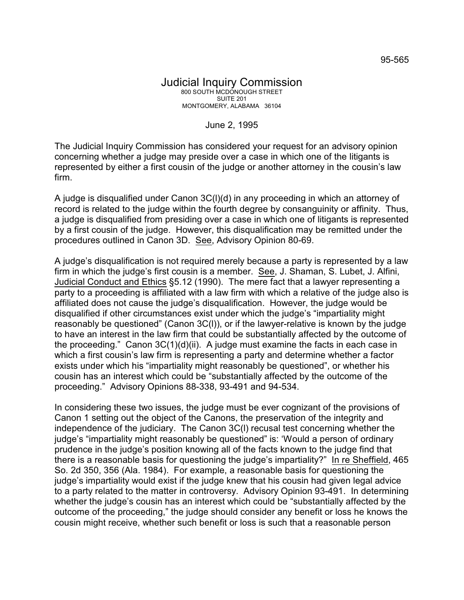## Judicial Inquiry Commission 800 SOUTH MCDONOUGH STREET SUITE 201 MONTGOMERY, ALABAMA 36104

June 2, 1995

The Judicial Inquiry Commission has considered your request for an advisory opinion concerning whether a judge may preside over a case in which one of the litigants is represented by either a first cousin of the judge or another attorney in the cousin's law firm.

A judge is disqualified under Canon 3C(l)(d) in any proceeding in which an attorney of record is related to the judge within the fourth degree by consanguinity or affinity. Thus, a judge is disqualified from presiding over a case in which one of litigants is represented by a first cousin of the judge. However, this disqualification may be remitted under the procedures outlined in Canon 3D. See, Advisory Opinion 80-69.

A judge's disqualification is not required merely because a party is represented by a law firm in which the judge's first cousin is a member. See, J. Shaman, S. Lubet, J. Alfini, Judicial Conduct and Ethics §5.12 (1990). The mere fact that a lawyer representing a party to a proceeding is affiliated with a law firm with which a relative of the judge also is affiliated does not cause the judge's disqualification. However, the judge would be disqualified if other circumstances exist under which the judge's "impartiality might reasonably be questioned" (Canon 3C(l)), or if the lawyer-relative is known by the judge to have an interest in the law firm that could be substantially affected by the outcome of the proceeding." Canon  $3C(1)(d)(ii)$ . A judge must examine the facts in each case in which a first cousin's law firm is representing a party and determine whether a factor exists under which his "impartiality might reasonably be questioned", or whether his cousin has an interest which could be "substantially affected by the outcome of the proceeding." Advisory Opinions 88-338, 93-491 and 94-534.

In considering these two issues, the judge must be ever cognizant of the provisions of Canon 1 setting out the object of the Canons, the preservation of the integrity and independence of the judiciary. The Canon 3C(l) recusal test concerning whether the judge's "impartiality might reasonably be questioned" is: 'Would a person of ordinary prudence in the judge's position knowing all of the facts known to the judge find that there is a reasonable basis for questioning the judge's impartiality?" In re Sheffield, 465 So. 2d 350, 356 (Ala. 1984). For example, a reasonable basis for questioning the judge's impartiality would exist if the judge knew that his cousin had given legal advice to a party related to the matter in controversy. Advisory Opinion 93-491. In determining whether the judge's cousin has an interest which could be "substantially affected by the outcome of the proceeding," the judge should consider any benefit or loss he knows the cousin might receive, whether such benefit or loss is such that a reasonable person